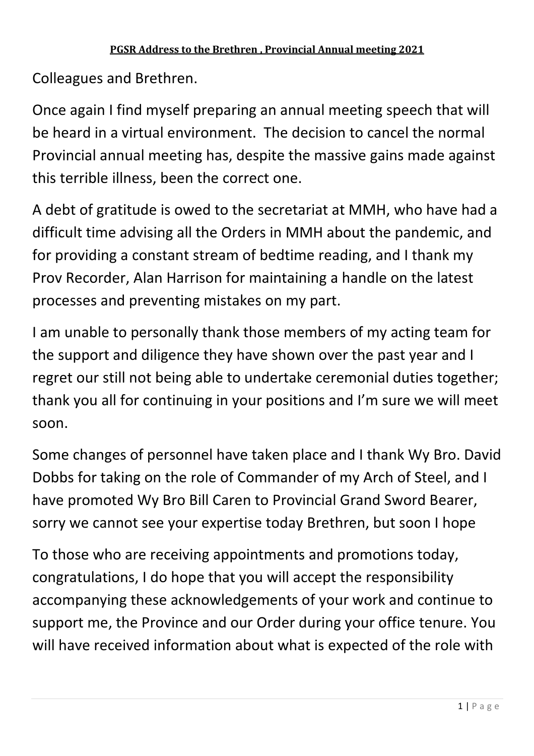Colleagues and Brethren.

Once again I find myself preparing an annual meeting speech that will be heard in a virtual environment. The decision to cancel the normal Provincial annual meeting has, despite the massive gains made against this terrible illness, been the correct one.

A debt of gratitude is owed to the secretariat at MMH, who have had a difficult time advising all the Orders in MMH about the pandemic, and for providing a constant stream of bedtime reading, and I thank my Prov Recorder, Alan Harrison for maintaining a handle on the latest processes and preventing mistakes on my part.

I am unable to personally thank those members of my acting team for the support and diligence they have shown over the past year and I regret our still not being able to undertake ceremonial duties together; thank you all for continuing in your positions and I'm sure we will meet soon.

Some changes of personnel have taken place and I thank Wy Bro. David Dobbs for taking on the role of Commander of my Arch of Steel, and I have promoted Wy Bro Bill Caren to Provincial Grand Sword Bearer, sorry we cannot see your expertise today Brethren, but soon I hope

To those who are receiving appointments and promotions today, congratulations, I do hope that you will accept the responsibility accompanying these acknowledgements of your work and continue to support me, the Province and our Order during your office tenure. You will have received information about what is expected of the role with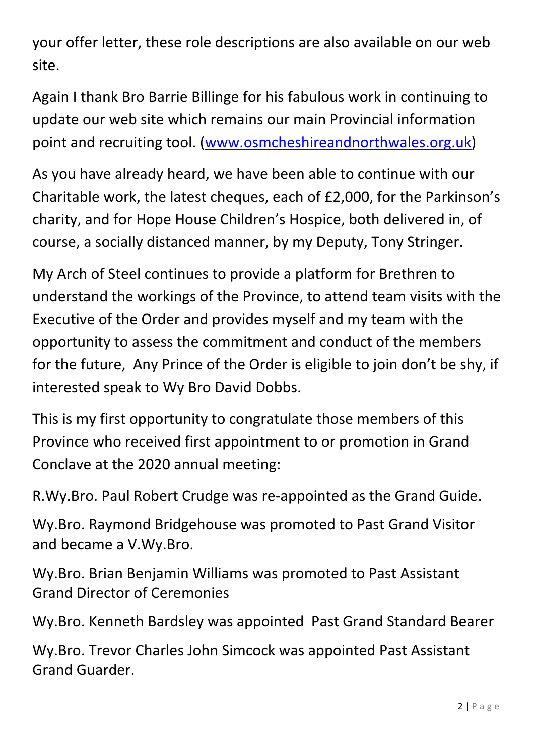your offer letter, these role descriptions are also available on our web site.

Again I thank Bro Barrie Billinge for his fabulous work in continuing to update our web site which remains our main Provincial information point and recruiting tool. (www.osmcheshireandnorthwales.org.uk)

As you have already heard, we have been able to continue with our Charitable work, the latest cheques, each of £2,000, for the Parkinson's charity, and for Hope House Children's Hospice, both delivered in, of course, a socially distanced manner, by my Deputy, Tony Stringer.

My Arch of Steel continues to provide a platform for Brethren to understand the workings of the Province, to attend team visits with the Executive of the Order and provides myself and my team with the opportunity to assess the commitment and conduct of the members for the future, Any Prince of the Order is eligible to join don't be shy, if interested speak to Wy Bro David Dobbs.

This is my first opportunity to congratulate those members of this Province who received first appointment to or promotion in Grand Conclave at the 2020 annual meeting:

R.Wy.Bro. Paul Robert Crudge was re-appointed as the Grand Guide.

Wy.Bro. Raymond Bridgehouse was promoted to Past Grand Visitor and became a V.Wy.Bro.

Wy.Bro. Brian Benjamin Williams was promoted to Past Assistant Grand Director of Ceremonies

Wy.Bro. Kenneth Bardsley was appointed Past Grand Standard Bearer

Wy.Bro. Trevor Charles John Simcock was appointed Past Assistant Grand Guarder.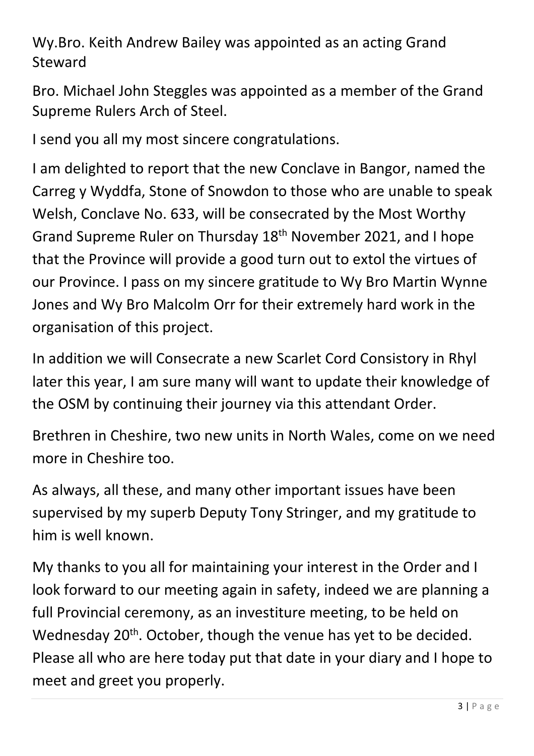Wy.Bro. Keith Andrew Bailey was appointed as an acting Grand Steward

Bro. Michael John Steggles was appointed as a member of the Grand Supreme Rulers Arch of Steel.

I send you all my most sincere congratulations.

I am delighted to report that the new Conclave in Bangor, named the Carreg y Wyddfa, Stone of Snowdon to those who are unable to speak Welsh, Conclave No. 633, will be consecrated by the Most Worthy Grand Supreme Ruler on Thursday 18<sup>th</sup> November 2021, and I hope that the Province will provide a good turn out to extol the virtues of our Province. I pass on my sincere gratitude to Wy Bro Martin Wynne Jones and Wy Bro Malcolm Orr for their extremely hard work in the organisation of this project.

In addition we will Consecrate a new Scarlet Cord Consistory in Rhyl later this year, I am sure many will want to update their knowledge of the OSM by continuing their journey via this attendant Order.

Brethren in Cheshire, two new units in North Wales, come on we need more in Cheshire too.

As always, all these, and many other important issues have been supervised by my superb Deputy Tony Stringer, and my gratitude to him is well known.

My thanks to you all for maintaining your interest in the Order and I look forward to our meeting again in safety, indeed we are planning a full Provincial ceremony, as an investiture meeting, to be held on Wednesday 20<sup>th</sup>. October, though the venue has yet to be decided. Please all who are here today put that date in your diary and I hope to meet and greet you properly.